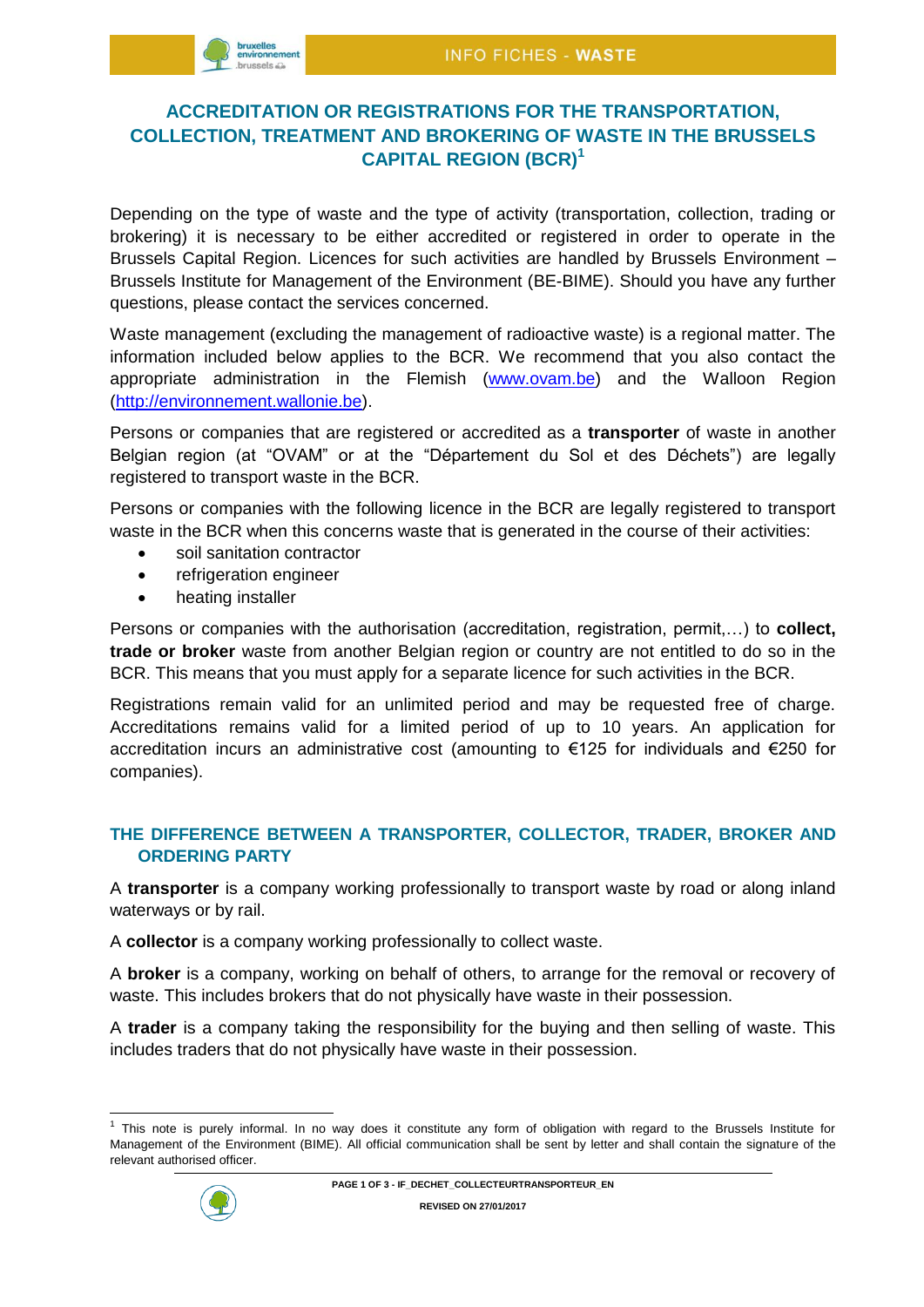

# **ACCREDITATION OR REGISTRATIONS FOR THE TRANSPORTATION, COLLECTION, TREATMENT AND BROKERING OF WASTE IN THE BRUSSELS CAPITAL REGION (BCR)<sup>1</sup>**

Depending on the type of waste and the type of activity (transportation, collection, trading or brokering) it is necessary to be either accredited or registered in order to operate in the Brussels Capital Region. Licences for such activities are handled by Brussels Environment – Brussels Institute for Management of the Environment (BE-BIME). Should you have any further questions, please contact the services concerned.

Waste management (excluding the management of radioactive waste) is a regional matter. The information included below applies to the BCR. We recommend that you also contact the appropriate administration in the Flemish [\(www.ovam.be\)](http://www.ovam.be/) and the Walloon Region [\(http://environnement.wallonie.be\)](http://environnement.wallonie.be/).

Persons or companies that are registered or accredited as a **transporter** of waste in another Belgian region (at "OVAM" or at the "Département du Sol et des Déchets") are legally registered to transport waste in the BCR.

Persons or companies with the following licence in the BCR are legally registered to transport waste in the BCR when this concerns waste that is generated in the course of their activities:

- soil sanitation contractor
- refrigeration engineer
- heating installer

Persons or companies with the authorisation (accreditation, registration, permit,…) to **collect, trade or broker** waste from another Belgian region or country are not entitled to do so in the BCR. This means that you must apply for a separate licence for such activities in the BCR.

Registrations remain valid for an unlimited period and may be requested free of charge. Accreditations remains valid for a limited period of up to 10 years. An application for accreditation incurs an administrative cost (amounting to €125 for individuals and €250 for companies).

### **THE DIFFERENCE BETWEEN A TRANSPORTER, COLLECTOR, TRADER, BROKER AND ORDERING PARTY**

A **transporter** is a company working professionally to transport waste by road or along inland waterways or by rail.

A **collector** is a company working professionally to collect waste.

A **broker** is a company, working on behalf of others, to arrange for the removal or recovery of waste. This includes brokers that do not physically have waste in their possession.

A **trader** is a company taking the responsibility for the buying and then selling of waste. This includes traders that do not physically have waste in their possession.

 $1$  This note is purely informal. In no way does it constitute any form of obligation with regard to the Brussels Institute for Management of the Environment (BIME). All official communication shall be sent by letter and shall contain the signature of the relevant authorised officer.



÷,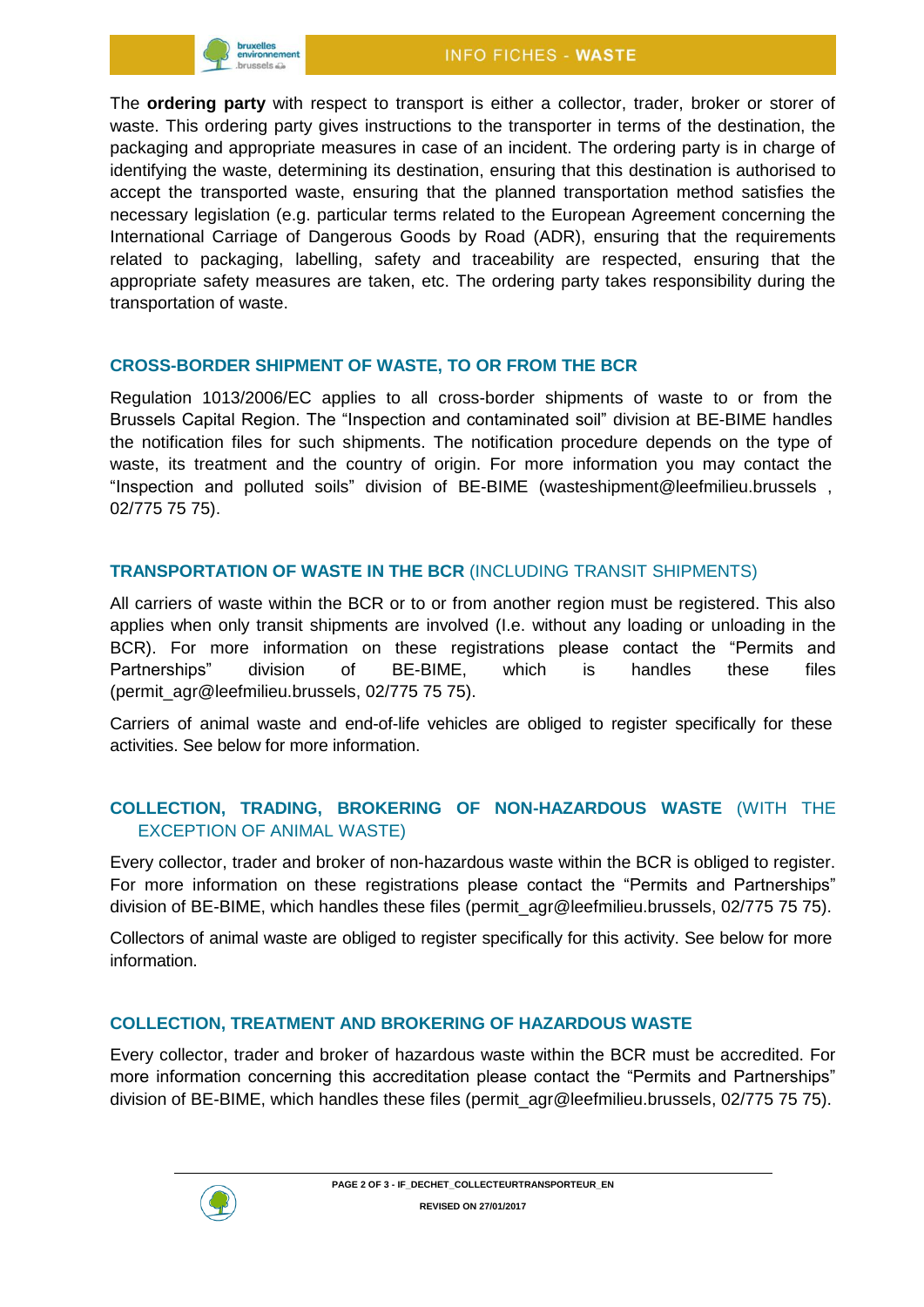

The **ordering party** with respect to transport is either a collector, trader, broker or storer of waste. This ordering party gives instructions to the transporter in terms of the destination, the packaging and appropriate measures in case of an incident. The ordering party is in charge of identifying the waste, determining its destination, ensuring that this destination is authorised to accept the transported waste, ensuring that the planned transportation method satisfies the necessary legislation (e.g. particular terms related to the European Agreement concerning the International Carriage of Dangerous Goods by Road (ADR), ensuring that the requirements related to packaging, labelling, safety and traceability are respected, ensuring that the appropriate safety measures are taken, etc. The ordering party takes responsibility during the transportation of waste.

#### **CROSS-BORDER SHIPMENT OF WASTE, TO OR FROM THE BCR**

Regulation 1013/2006/EC applies to all cross-border shipments of waste to or from the Brussels Capital Region. The "Inspection and contaminated soil" division at BE-BIME handles the notification files for such shipments. The notification procedure depends on the type of waste, its treatment and the country of origin. For more information you may contact the "Inspection and polluted soils" division of BE-BIME (wasteshipment@leefmilieu.brussels , 02/775 75 75).

#### **TRANSPORTATION OF WASTE IN THE BCR** (INCLUDING TRANSIT SHIPMENTS)

All carriers of waste within the BCR or to or from another region must be registered. This also applies when only transit shipments are involved (I.e. without any loading or unloading in the BCR). For more information on these registrations please contact the "Permits and Partnerships" division of BE-BIME, which is handles these files [\(permit\\_agr@leefmilieu.brussels,](mailto:permit_agr@leefmilieu.brussels) 02/775 75 75).

Carriers of animal waste and end-of-life vehicles are obliged to register specifically for these activities. See below for more information.

# **COLLECTION, TRADING, BROKERING OF NON-HAZARDOUS WASTE** (WITH THE EXCEPTION OF ANIMAL WASTE)

Every collector, trader and broker of non-hazardous waste within the BCR is obliged to register. For more information on these registrations please contact the "Permits and Partnerships" division of BE-BIME, which handles these files [\(permit\\_agr@leefmilieu.brussels,](mailto:permit_agr@leefmilieu.brussels) 02/775 75 75).

Collectors of animal waste are obliged to register specifically for this activity. See below for more information.

### **COLLECTION, TREATMENT AND BROKERING OF HAZARDOUS WASTE**

Every collector, trader and broker of hazardous waste within the BCR must be accredited. For more information concerning this accreditation please contact the "Permits and Partnerships" division of BE-BIME, which handles these files (permit\_agr@leefmilieu.brussels, 02/775 75 75).